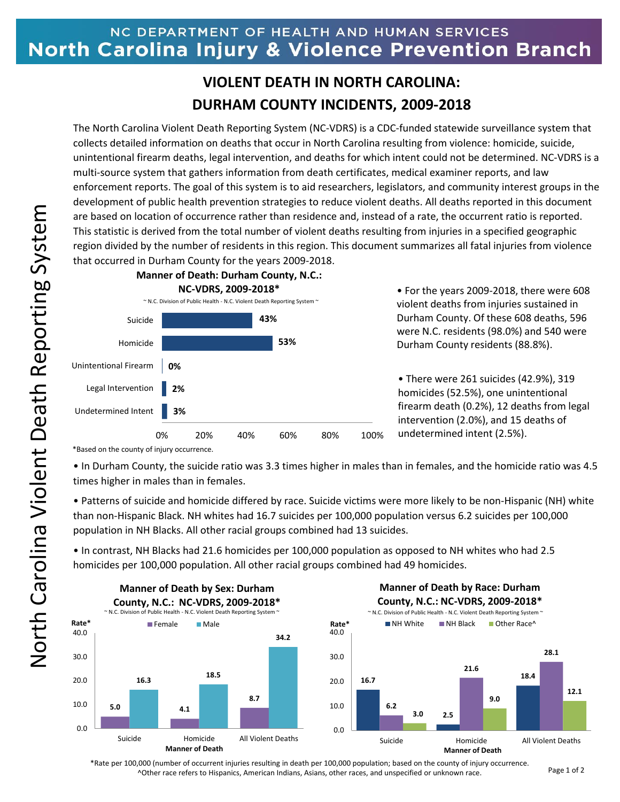## NC DEPARTMENT OF HEALTH AND HUMAN SERVICES North Carolina Injury & Violence Prevention Branch

## **VIOLENT DEATH IN NORTH CAROLINA: DURHAM COUNTY INCIDENTS, 2009-2018**

The North Carolina Violent Death Reporting System (NC-VDRS) is a CDC-funded statewide surveillance system that collects detailed information on deaths that occur in North Carolina resulting from violence: homicide, suicide, unintentional firearm deaths, legal intervention, and deaths for which intent could not be determined. NC-VDRS is a multi-source system that gathers information from death certificates, medical examiner reports, and law enforcement reports. The goal of this system is to aid researchers, legislators, and community interest groups in the development of public health prevention strategies to reduce violent deaths. All deaths reported in this document are based on location of occurrence rather than residence and, instead of a rate, the occurrent ratio is reported. This statistic is derived from the total number of violent deaths resulting from injuries in a specified geographic region divided by the number of residents in this region. This document summarizes all fatal injuries from violence that occurred in Durham County for the years 2009-2018.



• For the years 2009-2018, there were 608 violent deaths from injuries sustained in Durham County. Of these 608 deaths, 596 were N.C. residents (98.0%) and 540 were Durham County residents (88.8%).

• There were 261 suicides (42.9%), 319 homicides (52.5%), one unintentional firearm death (0.2%), 12 deaths from legal intervention (2.0%), and 15 deaths of undetermined intent (2.5%).

\*Based on the county of injury occurrence.

• In Durham County, the suicide ratio was 3.3 times higher in males than in females, and the homicide ratio was 4.5 times higher in males than in females.

• Patterns of suicide and homicide differed by race. Suicide victims were more likely to be non-Hispanic (NH) white than non-Hispanic Black. NH whites had 16.7 suicides per 100,000 population versus 6.2 suicides per 100,000 population in NH Blacks. All other racial groups combined had 13 suicides.

• In contrast, NH Blacks had 21.6 homicides per 100,000 population as opposed to NH whites who had 2.5 homicides per 100,000 population. All other racial groups combined had 49 homicides.



~ N.C. Division of Public Health - N.C. Violent Death Reporting System ~ **Manner of Death by Race: Durham County, N.C.: NC-VDRS, 2009-2018\***



\*Rate per 100,000 (number of occurrent injuries resulting in death per 100,000 population; based on the county of injury occurrence. ^Other race refers to Hispanics, American Indians, Asians, other races, and unspecified or unknown race.